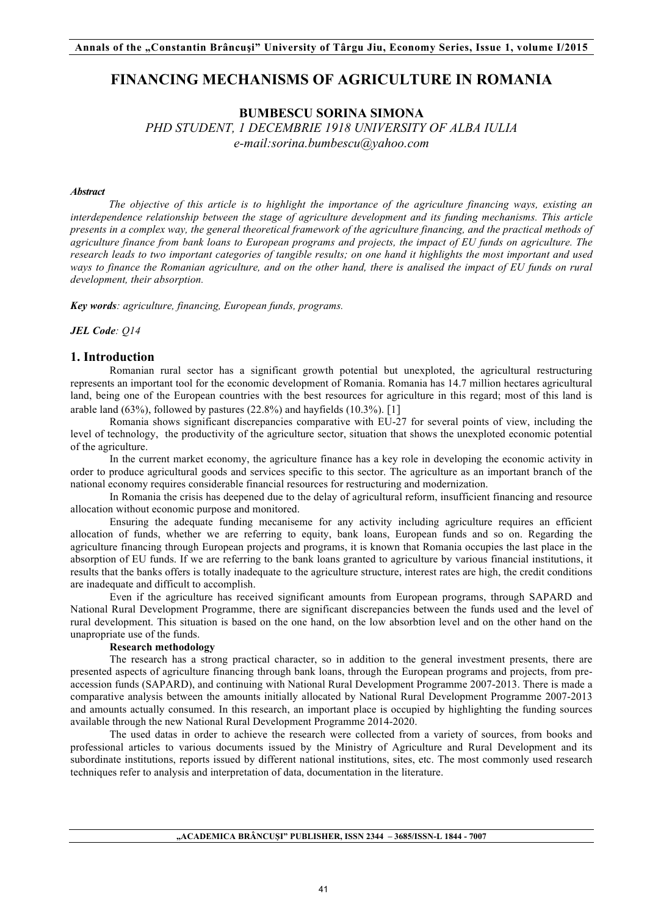# **FINANCING MECHANISMS OF AGRICULTURE IN ROMANIA**

## **BUMBESCU SORINA SIMONA** *PHD STUDENT, 1 DECEMBRIE 1918 UNIVERSITY OF ALBA IULIA*

*e-mail:sorina.bumbescu@yahoo.com* 

#### *Abstract*

*The objective of this article is to highlight the importance of the agriculture financing ways, existing an interdependence relationship between the stage of agriculture development and its funding mechanisms. This article presents in a complex way, the general theoretical framework of the agriculture financing, and the practical methods of agriculture finance from bank loans to European programs and projects, the impact of EU funds on agriculture. The research leads to two important categories of tangible results; on one hand it highlights the most important and used ways to finance the Romanian agriculture, and on the other hand, there is analised the impact of EU funds on rural development, their absorption.*

*Key words: agriculture, financing, European funds, programs.*

*JEL Code: Q14*

### **1. Introduction**

Romanian rural sector has a significant growth potential but unexploted, the agricultural restructuring represents an important tool for the economic development of Romania. Romania has 14.7 million hectares agricultural land, being one of the European countries with the best resources for agriculture in this regard; most of this land is arable land  $(63\%)$ , followed by pastures  $(22.8\%)$  and hayfields  $(10.3\%)$ . [1]

Romania shows significant discrepancies comparative with EU-27 for several points of view, including the level of technology, the productivity of the agriculture sector, situation that shows the unexploted economic potential of the agriculture.

In the current market economy, the agriculture finance has a key role in developing the economic activity in order to produce agricultural goods and services specific to this sector. The agriculture as an important branch of the national economy requires considerable financial resources for restructuring and modernization.

In Romania the crisis has deepened due to the delay of agricultural reform, insufficient financing and resource allocation without economic purpose and monitored.

Ensuring the adequate funding mecaniseme for any activity including agriculture requires an efficient allocation of funds, whether we are referring to equity, bank loans, European funds and so on. Regarding the agriculture financing through European projects and programs, it is known that Romania occupies the last place in the absorption of EU funds. If we are referring to the bank loans granted to agriculture by various financial institutions, it results that the banks offers is totally inadequate to the agriculture structure, interest rates are high, the credit conditions are inadequate and difficult to accomplish.

Even if the agriculture has received significant amounts from European programs, through SAPARD and National Rural Development Programme, there are significant discrepancies between the funds used and the level of rural development. This situation is based on the one hand, on the low absorbtion level and on the other hand on the unapropriate use of the funds.

### **Research methodology**

The research has a strong practical character, so in addition to the general investment presents, there are presented aspects of agriculture financing through bank loans, through the European programs and projects, from preaccession funds (SAPARD), and continuing with National Rural Development Programme 2007-2013. There is made a comparative analysis between the amounts initially allocated by National Rural Development Programme 2007-2013 and amounts actually consumed. In this research, an important place is occupied by highlighting the funding sources available through the new National Rural Development Programme 2014-2020.

The used datas in order to achieve the research were collected from a variety of sources, from books and professional articles to various documents issued by the Ministry of Agriculture and Rural Development and its subordinate institutions, reports issued by different national institutions, sites, etc. The most commonly used research techniques refer to analysis and interpretation of data, documentation in the literature.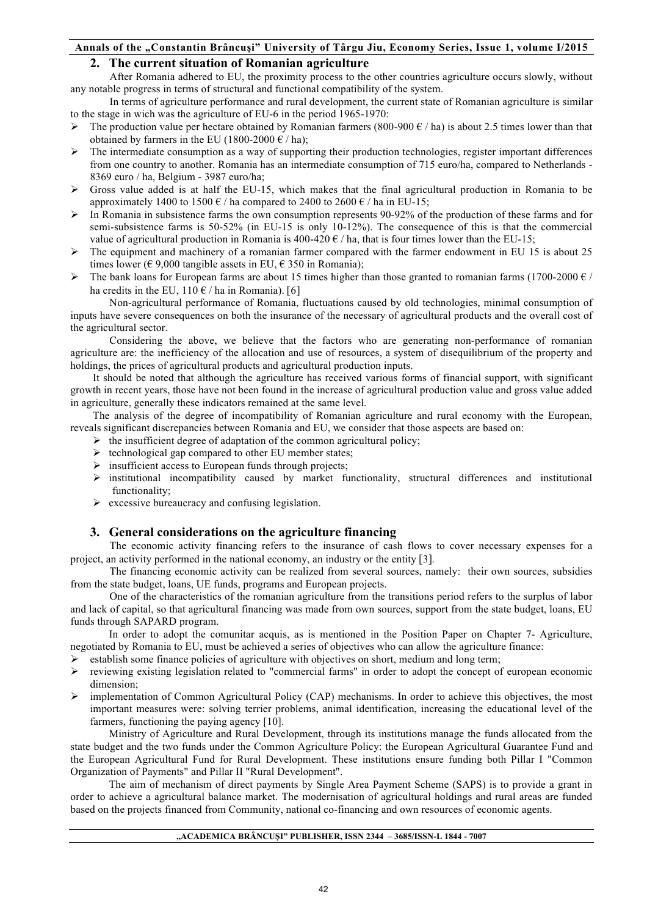# **2. The current situation of Romanian agriculture**

After Romania adhered to EU, the proximity process to the other countries agriculture occurs slowly, without any notable progress in terms of structural and functional compatibility of the system.

In terms of agriculture performance and rural development, the current state of Romanian agriculture is similar to the stage in wich was the agriculture of EU-6 in the period 1965-1970:

- Example 1 The production value per hectare obtained by Romanian farmers (800-900  $\epsilon$  / ha) is about 2.5 times lower than that obtained by farmers in the EU (1800-2000  $\epsilon$  / ha);
- ! The intermediate consumption as a way of supporting their production technologies, register important differences from one country to another. Romania has an intermediate consumption of 715 euro/ha, compared to Netherlands - 8369 euro / ha, Belgium - 3987 euro/ha;
- ! Gross value added is at half the EU-15, which makes that the final agricultural production in Romania to be approximately 1400 to 1500  $\epsilon$  / ha compared to 2400 to 2600  $\epsilon$  / ha in EU-15;
- ! In Romania in subsistence farms the own consumption represents 90-92% of the production of these farms and for semi-subsistence farms is 50-52% (in EU-15 is only 10-12%). The consequence of this is that the commercial value of agricultural production in Romania is  $400-420 \text{ }\epsilon/$  ha, that is four times lower than the EU-15;
- $\triangleright$  The equipment and machinery of a romanian farmer compared with the farmer endowment in EU 15 is about 25 times lower ( $\epsilon$  9,000 tangible assets in EU,  $\epsilon$  350 in Romania);
- External the bank loans for European farms are about 15 times higher than those granted to romanian farms (1700-2000  $\epsilon$  / ha credits in the EU,  $110 \text{ } \in$  / ha in Romania). [6]

Non-agricultural performance of Romania, fluctuations caused by old technologies, minimal consumption of inputs have severe consequences on both the insurance of the necessary of agricultural products and the overall cost of the agricultural sector.

Considering the above, we believe that the factors who are generating non-performance of romanian agriculture are: the inefficiency of the allocation and use of resources, a system of disequilibrium of the property and holdings, the prices of agricultural products and agricultural production inputs.

It should be noted that although the agriculture has received various forms of financial support, with significant growth in recent years, those have not been found in the increase of agricultural production value and gross value added in agriculture, generally these indicators remained at the same level.

The analysis of the degree of incompatibility of Romanian agriculture and rural economy with the European, reveals significant discrepancies between Romania and EU, we consider that those aspects are based on:

- $\triangleright$  the insufficient degree of adaptation of the common agricultural policy;
- $\triangleright$  technological gap compared to other EU member states;
- $\triangleright$  insufficient access to European funds through projects;
- $\triangleright$  institutional incompatibility caused by market functionality, structural differences and institutional functionality;
- $\triangleright$  excessive bureaucracy and confusing legislation.

# **3. General considerations on the agriculture financing**

The economic activity financing refers to the insurance of cash flows to cover necessary expenses for a project, an activity performed in the national economy, an industry or the entity [3].

The financing economic activity can be realized from several sources, namely: their own sources, subsidies from the state budget, loans, UE funds, programs and European projects.

One of the characteristics of the romanian agriculture from the transitions period refers to the surplus of labor and lack of capital, so that agricultural financing was made from own sources, support from the state budget, loans, EU funds through SAPARD program.

In order to adopt the comunitar acquis, as is mentioned in the Position Paper on Chapter 7- Agriculture, negotiated by Romania to EU, must be achieved a series of objectives who can allow the agriculture finance:

- ! establish some finance policies of agriculture with objectives on short, medium and long term;
- ! reviewing existing legislation related to "commercial farms" in order to adopt the concept of european economic dimension;
- $\triangleright$  implementation of Common Agricultural Policy (CAP) mechanisms. In order to achieve this objectives, the most important measures were: solving terrier problems, animal identification, increasing the educational level of the farmers, functioning the paying agency [10].

Ministry of Agriculture and Rural Development, through its institutions manage the funds allocated from the state budget and the two funds under the Common Agriculture Policy: the European Agricultural Guarantee Fund and the European Agricultural Fund for Rural Development. These institutions ensure funding both Pillar I "Common Organization of Payments" and Pillar II "Rural Development".

The aim of mechanism of direct payments by Single Area Payment Scheme (SAPS) is to provide a grant in order to achieve a agricultural balance market. The modernisation of agricultural holdings and rural areas are funded based on the projects financed from Community, national co-financing and own resources of economic agents.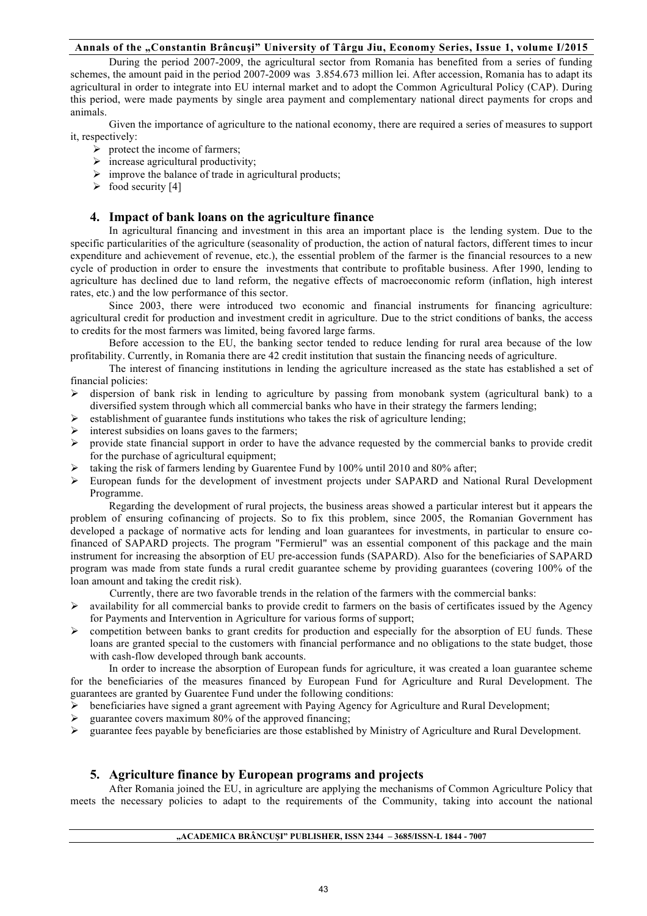During the period 2007-2009, the agricultural sector from Romania has benefited from a series of funding schemes, the amount paid in the period 2007-2009 was 3.854.673 million lei. After accession, Romania has to adapt its agricultural in order to integrate into EU internal market and to adopt the Common Agricultural Policy (CAP). During this period, were made payments by single area payment and complementary national direct payments for crops and animals.

Given the importance of agriculture to the national economy, there are required a series of measures to support it, respectively:

- $\triangleright$  protect the income of farmers;
- $\triangleright$  increase agricultural productivity;
- $\triangleright$  improve the balance of trade in agricultural products;
- $\triangleright$  food security [4]

# **4. Impact of bank loans on the agriculture finance**

In agricultural financing and investment in this area an important place is the lending system. Due to the specific particularities of the agriculture (seasonality of production, the action of natural factors, different times to incur expenditure and achievement of revenue, etc.), the essential problem of the farmer is the financial resources to a new cycle of production in order to ensure the investments that contribute to profitable business. After 1990, lending to agriculture has declined due to land reform, the negative effects of macroeconomic reform (inflation, high interest rates, etc.) and the low performance of this sector.

Since 2003, there were introduced two economic and financial instruments for financing agriculture: agricultural credit for production and investment credit in agriculture. Due to the strict conditions of banks, the access to credits for the most farmers was limited, being favored large farms.

Before accession to the EU, the banking sector tended to reduce lending for rural area because of the low profitability. Currently, in Romania there are 42 credit institution that sustain the financing needs of agriculture.

The interest of financing institutions in lending the agriculture increased as the state has established a set of financial policies:

- $\triangleright$  dispersion of bank risk in lending to agriculture by passing from monobank system (agricultural bank) to a diversified system through which all commercial banks who have in their strategy the farmers lending;
- ! establishment of guarantee funds institutions who takes the risk of agriculture lending;
- interest subsidies on loans gaves to the farmers;
- $\triangleright$  provide state financial support in order to have the advance requested by the commercial banks to provide credit for the purchase of agricultural equipment;
- taking the risk of farmers lending by Guarentee Fund by 100% until 2010 and 80% after;
- ! European funds for the development of investment projects under SAPARD and National Rural Development Programme.

Regarding the development of rural projects, the business areas showed a particular interest but it appears the problem of ensuring cofinancing of projects. So to fix this problem, since 2005, the Romanian Government has developed a package of normative acts for lending and loan guarantees for investments, in particular to ensure cofinanced of SAPARD projects. The program "Fermierul" was an essential component of this package and the main instrument for increasing the absorption of EU pre-accession funds (SAPARD). Also for the beneficiaries of SAPARD program was made from state funds a rural credit guarantee scheme by providing guarantees (covering 100% of the loan amount and taking the credit risk).

Currently, there are two favorable trends in the relation of the farmers with the commercial banks:

- $\triangleright$  availability for all commercial banks to provide credit to farmers on the basis of certificates issued by the Agency for Payments and Intervention in Agriculture for various forms of support;
- $\triangleright$  competition between banks to grant credits for production and especially for the absorption of EU funds. These loans are granted special to the customers with financial performance and no obligations to the state budget, those with cash-flow developed through bank accounts.

In order to increase the absorption of European funds for agriculture, it was created a loan guarantee scheme for the beneficiaries of the measures financed by European Fund for Agriculture and Rural Development. The guarantees are granted by Guarentee Fund under the following conditions:

- $\triangleright$  beneficiaries have signed a grant agreement with Paying Agency for Agriculture and Rural Development;
- $\triangleright$  guarantee covers maximum 80% of the approved financing;
- $\triangleright$  guarantee fees payable by beneficiaries are those established by Ministry of Agriculture and Rural Development.

### **5. Agriculture finance by European programs and projects**

After Romania joined the EU, in agriculture are applying the mechanisms of Common Agriculture Policy that meets the necessary policies to adapt to the requirements of the Community, taking into account the national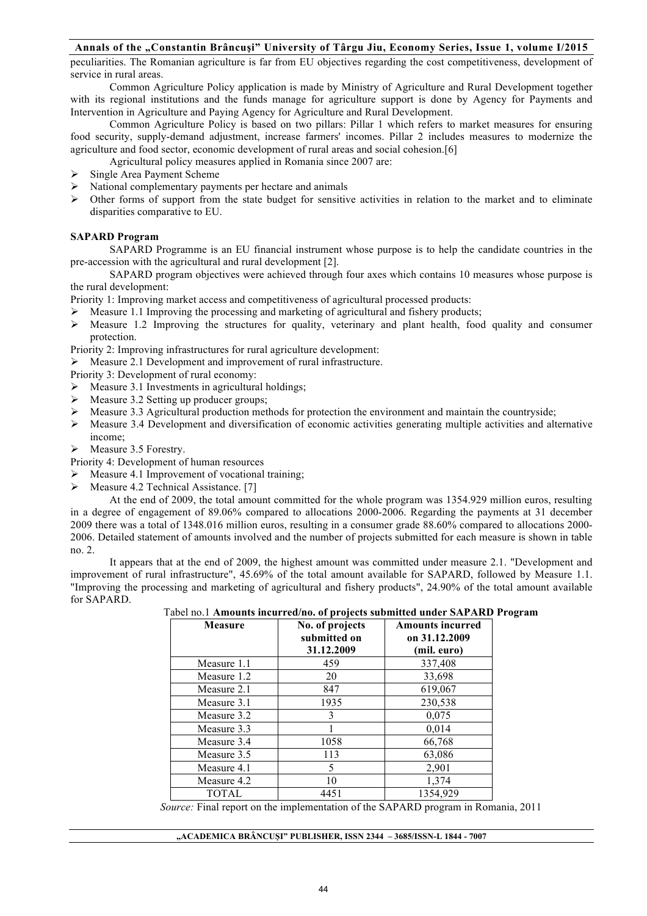peculiarities. The Romanian agriculture is far from EU objectives regarding the cost competitiveness, development of service in rural areas.

Common Agriculture Policy application is made by Ministry of Agriculture and Rural Development together with its regional institutions and the funds manage for agriculture support is done by Agency for Payments and Intervention in Agriculture and Paying Agency for Agriculture and Rural Development.

Common Agriculture Policy is based on two pillars: Pillar 1 which refers to market measures for ensuring food security, supply-demand adjustment, increase farmers' incomes. Pillar 2 includes measures to modernize the agriculture and food sector, economic development of rural areas and social cohesion.[6]

Agricultural policy measures applied in Romania since 2007 are:

- Single Area Payment Scheme
- $\triangleright$  National complementary payments per hectare and animals
- ! Other forms of support from the state budget for sensitive activities in relation to the market and to eliminate disparities comparative to EU.

### **SAPARD Program**

SAPARD Programme is an EU financial instrument whose purpose is to help the candidate countries in the pre-accession with the agricultural and rural development [2].

SAPARD program objectives were achieved through four axes which contains 10 measures whose purpose is the rural development:

Priority 1: Improving market access and competitiveness of agricultural processed products:

- $\triangleright$  Measure 1.1 Improving the processing and marketing of agricultural and fishery products;
- $\triangleright$  Measure 1.2 Improving the structures for quality, veterinary and plant health, food quality and consumer protection.

Priority 2: Improving infrastructures for rural agriculture development:

! Measure 2.1 Development and improvement of rural infrastructure.

Priority 3: Development of rural economy:

- $\triangleright$  Measure 3.1 Investments in agricultural holdings;
- $\triangleright$  Measure 3.2 Setting up producer groups:
- $\geq$  Measure 3.3 Agricultural production methods for protection the environment and maintain the countryside;
- $\triangleright$  Measure 3.4 Development and diversification of economic activities generating multiple activities and alternative income;
- $\triangleright$  Measure 3.5 Forestry.

Priority 4: Development of human resources

- Measure 4.1 Improvement of vocational training;
- > Measure 4.2 Technical Assistance. [7]

At the end of 2009, the total amount committed for the whole program was 1354.929 million euros, resulting in a degree of engagement of 89.06% compared to allocations 2000-2006. Regarding the payments at 31 december 2009 there was a total of 1348.016 million euros, resulting in a consumer grade 88.60% compared to allocations 2000- 2006. Detailed statement of amounts involved and the number of projects submitted for each measure is shown in table no. 2.

It appears that at the end of 2009, the highest amount was committed under measure 2.1. "Development and improvement of rural infrastructure", 45.69% of the total amount available for SAPARD, followed by Measure 1.1. "Improving the processing and marketing of agricultural and fishery products", 24.90% of the total amount available for SAPARD.

| <b>Measure</b> | No. of projects<br>submitted on<br>31.12.2009 | <b>Amounts incurred</b><br>on 31.12.2009<br>(mil. euro) |
|----------------|-----------------------------------------------|---------------------------------------------------------|
| Measure 1.1    | 459                                           | 337,408                                                 |
| Measure 1.2    | 20                                            | 33,698                                                  |
| Measure 2.1    | 847                                           | 619,067                                                 |
| Measure 3.1    | 1935                                          | 230,538                                                 |
| Measure 3.2    | 3                                             | 0,075                                                   |
| Measure 3.3    |                                               | 0,014                                                   |
| Measure 3.4    | 1058                                          | 66,768                                                  |
| Measure 3.5    | 113                                           | 63,086                                                  |
| Measure 4.1    | 5                                             | 2,901                                                   |
| Measure 4.2    | 10                                            | 1,374                                                   |
| <b>TOTAL</b>   | 4451                                          | 1354,929                                                |

Tabel no.1 **Amounts incurred/no. of projects submitted under SAPARD Program**

*Source:* Final report on the implementation of the SAPARD program in Romania, 2011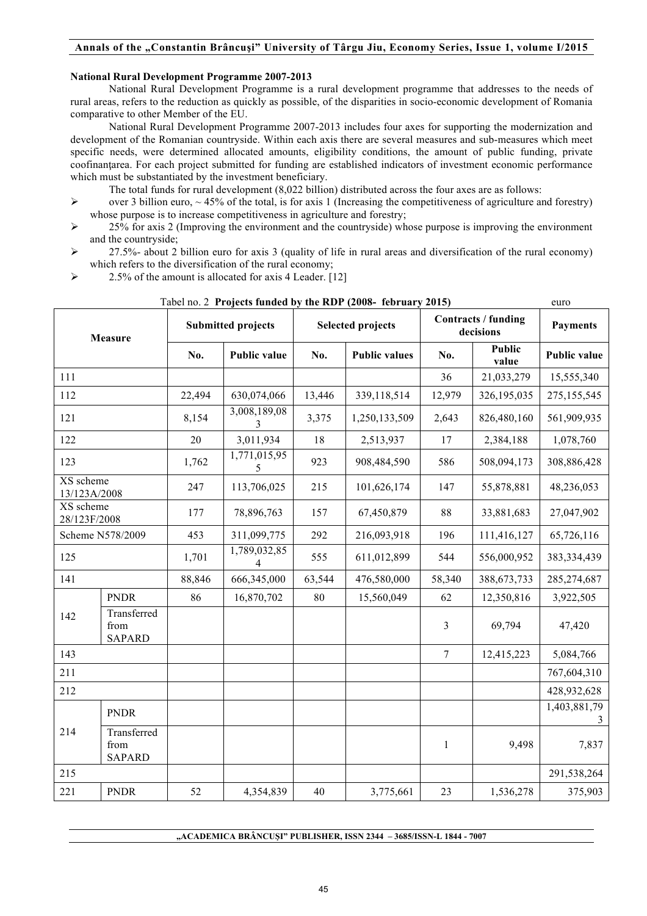### **National Rural Development Programme 2007-2013**

National Rural Development Programme is a rural development programme that addresses to the needs of rural areas, refers to the reduction as quickly as possible, of the disparities in socio-economic development of Romania comparative to other Member of the EU.

National Rural Development Programme 2007-2013 includes four axes for supporting the modernization and development of the Romanian countryside. Within each axis there are several measures and sub-measures which meet specific needs, were determined allocated amounts, eligibility conditions, the amount of public funding, private coofinantarea. For each project submitted for funding are established indicators of investment economic performance which must be substantiated by the investment beneficiary.

- The total funds for rural development (8,022 billion) distributed across the four axes are as follows:
- $\geq$  over 3 billion euro, ~ 45% of the total, is for axis 1 (Increasing the competitiveness of agriculture and forestry) whose purpose is to increase competitiveness in agriculture and forestry;
- ! 25% for axis 2 (Improving the environment and the countryside) whose purpose is improving the environment and the countryside;
- $\geq$  27.5%- about 2 billion euro for axis 3 (quality of life in rural areas and diversification of the rural economy) which refers to the diversification of the rural economy;
- $\triangleright$  2.5% of the amount is allocated for axis 4 Leader. [12]

| <b>Measure</b>            |                                      | <b>Submitted projects</b> |                     | <b>Selected projects</b> |                      | Contracts / funding<br>decisions |                        | <b>Payments</b>     |
|---------------------------|--------------------------------------|---------------------------|---------------------|--------------------------|----------------------|----------------------------------|------------------------|---------------------|
|                           |                                      | No.                       | <b>Public value</b> | No.                      | <b>Public values</b> | No.                              | <b>Public</b><br>value | <b>Public value</b> |
| 111                       |                                      |                           |                     |                          |                      | 36                               | 21,033,279             | 15,555,340          |
| 112                       |                                      | 22,494                    | 630,074,066         | 13,446                   | 339,118,514          | 12,979                           | 326,195,035            | 275, 155, 545       |
| 121                       |                                      | 8,154                     | 3,008,189,08<br>3   | 3,375                    | 1,250,133,509        | 2,643                            | 826,480,160            | 561,909,935         |
| 122                       |                                      | 20                        | 3,011,934           | 18                       | 2,513,937            | 17                               | 2,384,188              | 1,078,760           |
| 123                       |                                      | 1,762                     | 1,771,015,95<br>5   | 923                      | 908,484,590          | 586                              | 508,094,173            | 308,886,428         |
| XS scheme<br>13/123A/2008 |                                      | 247                       | 113,706,025         | 215                      | 101,626,174          | 147                              | 55,878,881             | 48,236,053          |
| XS scheme<br>28/123F/2008 |                                      | 177                       | 78,896,763          | 157                      | 67,450,879           | 88                               | 33,881,683             | 27,047,902          |
| Scheme N578/2009          |                                      | 453                       | 311,099,775         | 292                      | 216,093,918          | 196                              | 111,416,127            | 65,726,116          |
| 125                       |                                      | 1,701                     | 1,789,032,85<br>4   | 555                      | 611,012,899          | 544                              | 556,000,952            | 383, 334, 439       |
| 141                       |                                      | 88,846                    | 666,345,000         | 63,544                   | 476,580,000          | 58,340                           | 388,673,733            | 285,274,687         |
|                           | <b>PNDR</b>                          | 86                        | 16,870,702          | 80                       | 15,560,049           | 62                               | 12,350,816             | 3,922,505           |
| 142                       | Transferred<br>from<br><b>SAPARD</b> |                           |                     |                          |                      | 3                                | 69,794                 | 47,420              |
| 143                       |                                      |                           |                     |                          |                      | $\overline{7}$                   | 12,415,223             | 5,084,766           |
| 211                       |                                      |                           |                     |                          |                      |                                  |                        | 767,604,310         |
| 212                       |                                      |                           |                     |                          |                      |                                  |                        | 428,932,628         |
| 214                       | <b>PNDR</b>                          |                           |                     |                          |                      |                                  |                        | 1,403,881,79<br>3   |
|                           | Transferred<br>from<br><b>SAPARD</b> |                           |                     |                          |                      | $\mathbf{1}$                     | 9,498                  | 7,837               |
| 215                       |                                      |                           |                     |                          |                      |                                  |                        | 291,538,264         |
| 221                       | <b>PNDR</b>                          | 52                        | 4,354,839           | 40                       | 3,775,661            | 23                               | 1,536,278              | 375,903             |

#### Tabel no. 2 **Projects funded by the RDP (2008- february 2015)** euro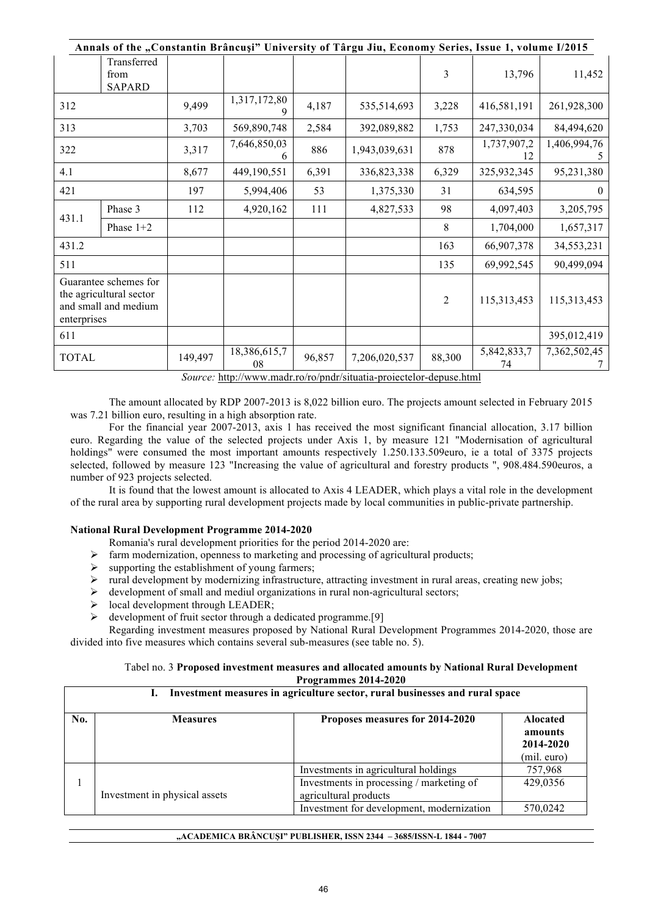| Annals of the "Constantin Brâncuși" University of Târgu Jiu, Economy Series, Issue 1, volume I/2015 |                                      |         |                    |        |               |                |                   |                   |
|-----------------------------------------------------------------------------------------------------|--------------------------------------|---------|--------------------|--------|---------------|----------------|-------------------|-------------------|
|                                                                                                     | Transferred<br>from<br><b>SAPARD</b> |         |                    |        |               | 3              | 13,796            | 11,452            |
| 312                                                                                                 |                                      | 9,499   | 1,317,172,80<br>9  | 4,187  | 535,514,693   | 3,228          | 416,581,191       | 261,928,300       |
| 313                                                                                                 |                                      | 3,703   | 569,890,748        | 2,584  | 392,089,882   | 1,753          | 247,330,034       | 84,494,620        |
| 322                                                                                                 |                                      | 3,317   | 7,646,850,03<br>6  | 886    | 1,943,039,631 | 878            | 1,737,907,2<br>12 | 1,406,994,76<br>5 |
| 4.1                                                                                                 |                                      | 8,677   | 449,190,551        | 6,391  | 336,823,338   | 6,329          | 325,932,345       | 95,231,380        |
| 421                                                                                                 |                                      | 197     | 5,994,406          | 53     | 1,375,330     | 31             | 634,595           | $\left($          |
| 431.1                                                                                               | Phase 3                              | 112     | 4,920,162          | 111    | 4,827,533     | 98             | 4,097,403         | 3,205,795         |
|                                                                                                     | Phase $1+2$                          |         |                    |        |               | 8              | 1,704,000         | 1,657,317         |
| 431.2                                                                                               |                                      |         |                    |        |               | 163            | 66,907,378        | 34,553,231        |
| 511                                                                                                 |                                      |         |                    |        |               | 135            | 69,992,545        | 90,499,094        |
| Guarantee schemes for<br>the agricultural sector<br>and small and medium<br>enterprises             |                                      |         |                    |        |               | $\overline{2}$ | 115,313,453       | 115,313,453       |
| 611                                                                                                 |                                      |         |                    |        |               |                |                   | 395,012,419       |
| <b>TOTAL</b>                                                                                        |                                      | 149,497 | 18,386,615,7<br>08 | 96,857 | 7,206,020,537 | 88,300         | 5,842,833,7<br>74 | 7,362,502,45      |

*Source:* http://www.madr.ro/ro/pndr/situatia-proiectelor-depuse.html

The amount allocated by RDP 2007-2013 is 8,022 billion euro. The projects amount selected in February 2015 was 7.21 billion euro, resulting in a high absorption rate.

For the financial year 2007-2013, axis 1 has received the most significant financial allocation, 3.17 billion euro. Regarding the value of the selected projects under Axis 1, by measure 121 "Modernisation of agricultural holdings" were consumed the most important amounts respectively 1.250.133.509euro, ie a total of 3375 projects selected, followed by measure 123 "Increasing the value of agricultural and forestry products ", 908.484.590euros, a number of 923 projects selected.

It is found that the lowest amount is allocated to Axis 4 LEADER, which plays a vital role in the development of the rural area by supporting rural development projects made by local communities in public-private partnership.

#### **National Rural Development Programme 2014-2020**

Romania's rural development priorities for the period 2014-2020 are:

- farm modernization, openness to marketing and processing of agricultural products;
- $\triangleright$  supporting the establishment of young farmers;
- $\triangleright$  rural development by modernizing infrastructure, attracting investment in rural areas, creating new jobs;
- $\triangleright$  development of small and mediul organizations in rural non-agricultural sectors;
- $\triangleright$  local development through LEADER;
- $\triangleright$  development of fruit sector through a dedicated programme. [9]

Regarding investment measures proposed by National Rural Development Programmes 2014-2020, those are divided into five measures which contains several sub-measures (see table no. 5).

#### Tabel no. 3 **Proposed investment measures and allocated amounts by National Rural Development Programmes 2014-2020**

#### **I. Investment measures in agriculture sector, rural businesses and rural space**

| No. | <b>Measures</b>               | Proposes measures for 2014-2020           | <b>Alocated</b><br>amounts<br>2014-2020<br>(mil. euro) |
|-----|-------------------------------|-------------------------------------------|--------------------------------------------------------|
|     |                               | Investments in agricultural holdings      | 757,968                                                |
|     |                               | Investments in processing / marketing of  | 429,0356                                               |
|     | Investment in physical assets | agricultural products                     |                                                        |
|     |                               | Investment for development, modernization | 570,0242                                               |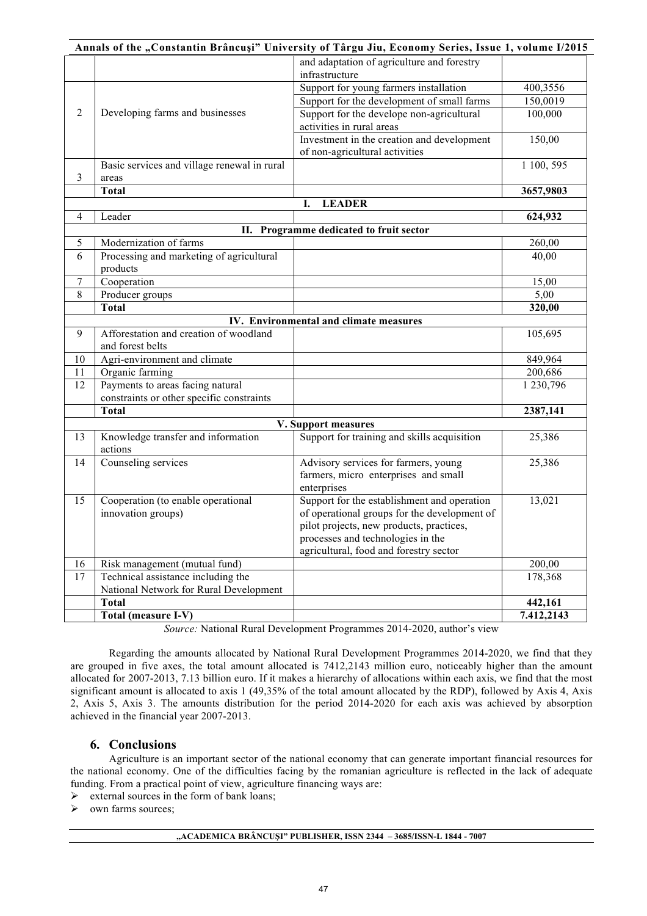|                |                                             | Annals of the "Constantin Brâncuși" University of Târgu Jiu, Economy Series, Issue 1, volume I/2015 |            |
|----------------|---------------------------------------------|-----------------------------------------------------------------------------------------------------|------------|
|                |                                             | and adaptation of agriculture and forestry                                                          |            |
|                |                                             | infrastructure                                                                                      |            |
|                |                                             | Support for young farmers installation                                                              | 400,3556   |
|                |                                             | Support for the development of small farms                                                          | 150,0019   |
| $\overline{2}$ | Developing farms and businesses             | Support for the develope non-agricultural                                                           | 100,000    |
|                |                                             | activities in rural areas                                                                           |            |
|                |                                             | Investment in the creation and development                                                          | 150,00     |
|                |                                             | of non-agricultural activities                                                                      |            |
|                | Basic services and village renewal in rural |                                                                                                     | 1 100, 595 |
| 3              | areas                                       |                                                                                                     |            |
|                | <b>Total</b>                                |                                                                                                     | 3657,9803  |
|                |                                             | <b>LEADER</b><br>I.                                                                                 |            |
| $\overline{4}$ | Leader                                      |                                                                                                     | 624,932    |
|                |                                             | II. Programme dedicated to fruit sector                                                             |            |
| 5              | Modernization of farms                      |                                                                                                     | 260,00     |
| 6              | Processing and marketing of agricultural    |                                                                                                     | 40,00      |
|                | products                                    |                                                                                                     |            |
| $\tau$         | Cooperation                                 |                                                                                                     | 15,00      |
| 8              | Producer groups                             |                                                                                                     | 5,00       |
|                | <b>Total</b>                                |                                                                                                     | 320,00     |
|                |                                             | IV. Environmental and climate measures                                                              |            |
| 9              | Afforestation and creation of woodland      |                                                                                                     | 105,695    |
|                | and forest belts                            |                                                                                                     |            |
| 10             | Agri-environment and climate                |                                                                                                     | 849,964    |
| 11             | Organic farming                             |                                                                                                     | 200,686    |
| 12             | Payments to areas facing natural            |                                                                                                     | 1 230,796  |
|                | constraints or other specific constraints   |                                                                                                     |            |
|                | <b>Total</b>                                |                                                                                                     | 2387,141   |
|                |                                             | V. Support measures                                                                                 |            |
| 13             | Knowledge transfer and information          | Support for training and skills acquisition                                                         | 25,386     |
|                | actions                                     |                                                                                                     |            |
| 14             | Counseling services                         | Advisory services for farmers, young                                                                | 25,386     |
|                |                                             | farmers, micro enterprises and small                                                                |            |
|                |                                             | enterprises                                                                                         |            |
| 15             | Cooperation (to enable operational          | Support for the establishment and operation                                                         | 13,021     |
|                | innovation groups)                          | of operational groups for the development of                                                        |            |
|                |                                             | pilot projects, new products, practices,                                                            |            |
|                |                                             | processes and technologies in the                                                                   |            |
|                |                                             | agricultural, food and forestry sector                                                              |            |
| 16             | Risk management (mutual fund)               |                                                                                                     | 200,00     |
| 17             | Technical assistance including the          |                                                                                                     | 178,368    |
|                | National Network for Rural Development      |                                                                                                     |            |
|                | <b>Total</b>                                |                                                                                                     | 442,161    |
|                | Total (measure I-V)                         |                                                                                                     | 7.412,2143 |

*Source:* National Rural Development Programmes 2014-2020, author's view

Regarding the amounts allocated by National Rural Development Programmes 2014-2020, we find that they are grouped in five axes, the total amount allocated is 7412,2143 million euro, noticeably higher than the amount allocated for 2007-2013, 7.13 billion euro. If it makes a hierarchy of allocations within each axis, we find that the most significant amount is allocated to axis 1 (49,35% of the total amount allocated by the RDP), followed by Axis 4, Axis 2, Axis 5, Axis 3. The amounts distribution for the period 2014-2020 for each axis was achieved by absorption achieved in the financial year 2007-2013.

# **6. Conclusions**

Agriculture is an important sector of the national economy that can generate important financial resources for the national economy. One of the difficulties facing by the romanian agriculture is reflected in the lack of adequate funding. From a practical point of view, agriculture financing ways are:

 $\triangleright$  external sources in the form of bank loans;

own farms sources;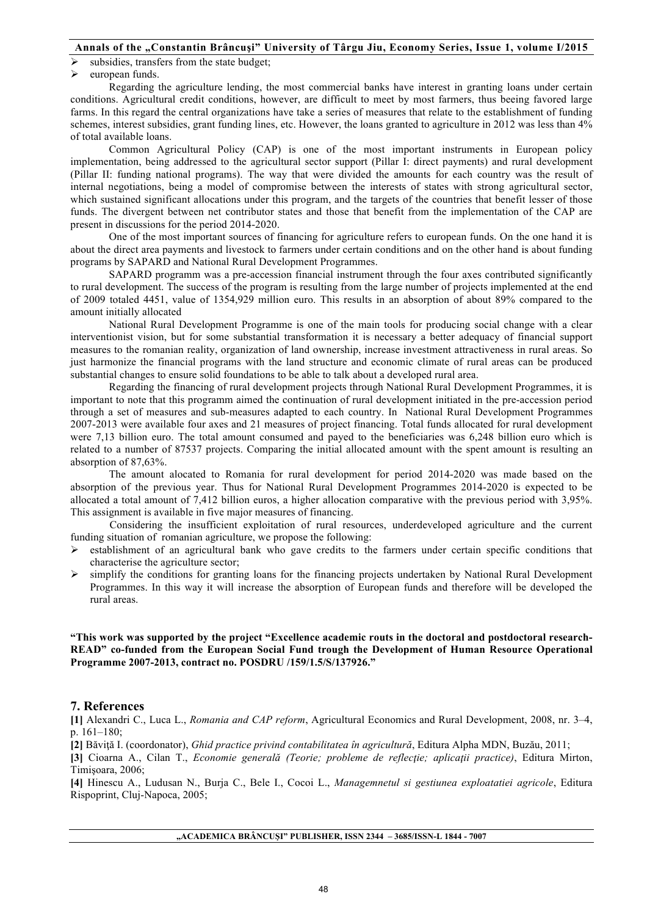subsidies, transfers from the state budget;

 $\blacktriangleright$  european funds.

Regarding the agriculture lending, the most commercial banks have interest in granting loans under certain conditions. Agricultural credit conditions, however, are difficult to meet by most farmers, thus beeing favored large farms. In this regard the central organizations have take a series of measures that relate to the establishment of funding schemes, interest subsidies, grant funding lines, etc. However, the loans granted to agriculture in 2012 was less than 4% of total available loans.

Common Agricultural Policy (CAP) is one of the most important instruments in European policy implementation, being addressed to the agricultural sector support (Pillar I: direct payments) and rural development (Pillar II: funding national programs). The way that were divided the amounts for each country was the result of internal negotiations, being a model of compromise between the interests of states with strong agricultural sector, which sustained significant allocations under this program, and the targets of the countries that benefit lesser of those funds. The divergent between net contributor states and those that benefit from the implementation of the CAP are present in discussions for the period 2014-2020.

One of the most important sources of financing for agriculture refers to european funds. On the one hand it is about the direct area payments and livestock to farmers under certain conditions and on the other hand is about funding programs by SAPARD and National Rural Development Programmes.

SAPARD programm was a pre-accession financial instrument through the four axes contributed significantly to rural development. The success of the program is resulting from the large number of projects implemented at the end of 2009 totaled 4451, value of 1354,929 million euro. This results in an absorption of about 89% compared to the amount initially allocated

National Rural Development Programme is one of the main tools for producing social change with a clear interventionist vision, but for some substantial transformation it is necessary a better adequacy of financial support measures to the romanian reality, organization of land ownership, increase investment attractiveness in rural areas. So just harmonize the financial programs with the land structure and economic climate of rural areas can be produced substantial changes to ensure solid foundations to be able to talk about a developed rural area.

Regarding the financing of rural development projects through National Rural Development Programmes, it is important to note that this programm aimed the continuation of rural development initiated in the pre-accession period through a set of measures and sub-measures adapted to each country. In National Rural Development Programmes 2007-2013 were available four axes and 21 measures of project financing. Total funds allocated for rural development were 7,13 billion euro. The total amount consumed and payed to the beneficiaries was 6,248 billion euro which is related to a number of 87537 projects. Comparing the initial allocated amount with the spent amount is resulting an absorption of 87,63%.

The amount alocated to Romania for rural development for period 2014-2020 was made based on the absorption of the previous year. Thus for National Rural Development Programmes 2014-2020 is expected to be allocated a total amount of 7,412 billion euros, a higher allocation comparative with the previous period with 3,95%. This assignment is available in five major measures of financing.

Considering the insufficient exploitation of rural resources, underdeveloped agriculture and the current funding situation of romanian agriculture, we propose the following:

- ! establishment of an agricultural bank who gave credits to the farmers under certain specific conditions that characterise the agriculture sector;
- $\triangleright$  simplify the conditions for granting loans for the financing projects undertaken by National Rural Development Programmes. In this way it will increase the absorption of European funds and therefore will be developed the rural areas.

**"This work was supported by the project "Excellence academic routs in the doctoral and postdoctoral research-READ" co-funded from the European Social Fund trough the Development of Human Resource Operational Programme 2007-2013, contract no. POSDRU /159/1.5/S/137926."**

# **7. References**

**[1]** Alexandri C., Luca L., *Romania and CAP reform*, Agricultural Economics and Rural Development, 2008, nr. 3–4, p. 161–180;

**[2]** Băviţă I. (coordonator), *Ghid practice privind contabilitatea în agricultură*, Editura Alpha MDN, Buzău, 2011;

**[3]** Cioarna A., Cilan T., *Economie generală (Teorie; probleme de reflecţie; aplicaţii practice)*, Editura Mirton, Timişoara, 2006;

**[4]** Hinescu A., Ludusan N., Burja C., Bele I., Cocoi L., *Managemnetul si gestiunea exploatatiei agricole*, Editura Rispoprint, Cluj-Napoca, 2005;